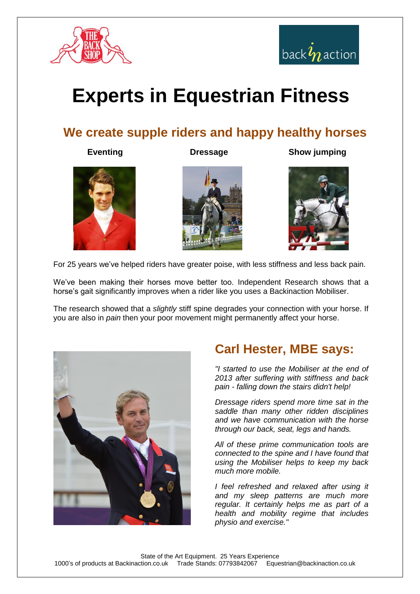



# **Experts in Equestrian Fitness**

#### **We create supple riders and happy healthy horses**

#### **Eventing Construction Dressage Show jumping**







For 25 years we've helped riders have greater poise, with less stiffness and less back pain.

We've been making their horses move better too. Independent Research shows that a horse's gait significantly improves when a rider like you uses a Backinaction Mobiliser.

The research showed that a *slightly* stiff spine degrades your connection with your horse. If you are also in *pain* then your poor movement might permanently affect your horse.



#### **Carl Hester, MBE says:**

*"I started to use the Mobiliser at the end of 2013 after suffering with stiffness and back pain - falling down the stairs didn't help!* 

*Dressage riders spend more time sat in the saddle than many other ridden disciplines and we have communication with the horse through our back, seat, legs and hands.*

*All of these prime communication tools are connected to the spine and I have found that using the Mobiliser helps to keep my back much more mobile.*

*I feel refreshed and relaxed after using it and my sleep patterns are much more regular. It certainly helps me as part of a health and mobility regime that includes physio and exercise."*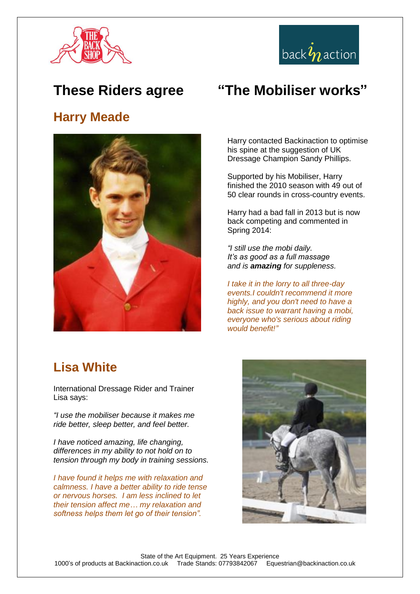



#### **These Riders agree**

#### **Harry Meade**



### **"The Mobiliser works"**

Harry contacted Backinaction to optimise his spine at the suggestion of UK Dressage Champion Sandy Phillips.

Supported by his Mobiliser, Harry finished the 2010 season with 49 out of 50 clear rounds in cross-country events.

Harry had a bad fall in 2013 but is now back competing and commented in Spring 2014:

*"I still use the mobi daily. It's as good as a full massage and is amazing for suppleness.*

*I take it in the lorry to all three-day events.I couldn't recommend it more highly, and you don't need to have a back issue to warrant having a mobi, everyone who's serious about riding would benefit!"*

#### **Lisa White**

International Dressage Rider and Trainer Lisa says:

*"I use the mobiliser because it makes me ride better, sleep better, and feel better.*

*I have noticed amazing, life changing, differences in my ability to not hold on to tension through my body in training sessions.* 

*I have found it helps me with relaxation and calmness. I have a better ability to ride tense or nervous horses. I am less inclined to let their tension affect me… my relaxation and softness helps them let go of their tension".*

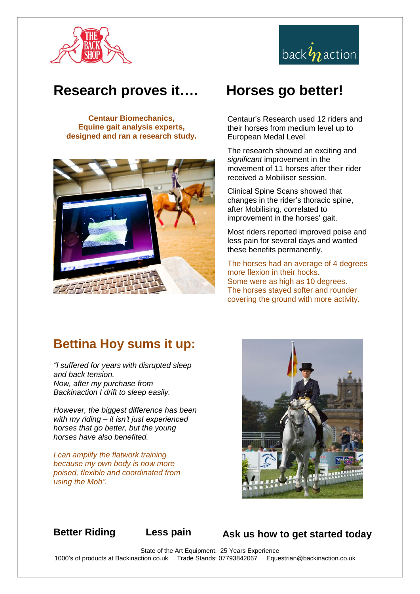



#### **Research proves it….**

**Centaur Biomechanics, Equine gait analysis experts, designed and ran a research study.**



### **Horses go better!**

Centaur's Research used 12 riders and their horses from medium level up to European Medal Level.

The research showed an exciting and *significant* improvement in the movement of 11 horses after their rider received a Mobiliser session.

Clinical Spine Scans showed that changes in the rider's thoracic spine, after Mobilising, correlated to improvement in the horses' gait.

Most riders reported improved poise and less pain for several days and wanted these benefits permanently.

The horses had an average of 4 degrees more flexion in their hocks. Some were as high as 10 degrees. The horses stayed softer and rounder covering the ground with more activity.

#### **Bettina Hoy sums it up:**

*"I suffered for years with disrupted sleep and back tension. Now, after my purchase from Backinaction I drift to sleep easily.* 

*However, the biggest difference has been with my riding – it isn't just experienced horses that go better, but the young horses have also benefited.*

*I can amplify the flatwork training because my own body is now more poised, flexible and coordinated from using the Mob".*



**Better Riding Less pain Ask us how to get started today**

State of the Art Equipment. 25 Years Experience 1000's of products at Backinaction.co.uk Trade Stands: 07793842067 Equestrian@backinaction.co.uk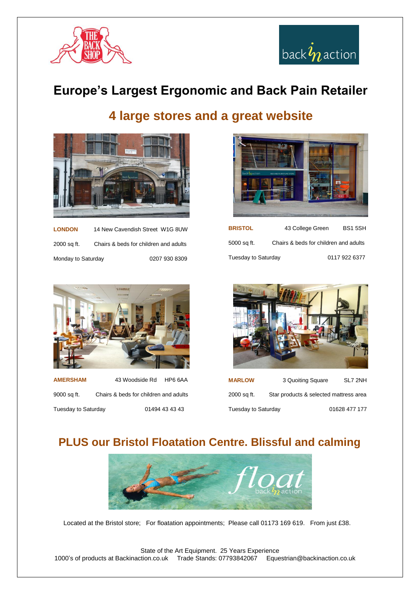



#### **Europe's Largest Ergonomic and Back Pain Retailer**

#### **4 large stores and a great website**



| <b>LONDON</b>      | 14 New Cavendish Street W1G 8UW       |               |
|--------------------|---------------------------------------|---------------|
| 2000 sq ft.        | Chairs & beds for children and adults |               |
| Monday to Saturday |                                       | 0207 930 8309 |



| <b>BRISTOL</b>      | 43 College Green | <b>BS15SH</b>                         |  |
|---------------------|------------------|---------------------------------------|--|
| 5000 sq ft.         |                  | Chairs & beds for children and adults |  |
| Tuesday to Saturday |                  | 0117 922 6377                         |  |



**AMERSHAM** 43 Woodside Rd HP6 6AA 9000 sq ft. Chairs & beds for children and adults Tuesday to Saturday 01494 43 43 43



**MARLOW** 3 Quoiting Square SL7 2NH 2000 sq ft. Star products & selected mattress area Tuesday to Saturday 01628 477 177

#### **PLUS our Bristol Floatation Centre. Blissful and calming**



Located at the Bristol store; For floatation appointments; Please call 01173 169 619. From just £38.

State of the Art Equipment. 25 Years Experience 1000's of products at Backinaction.co.uk Trade Stands: 07793842067 Equestrian@backinaction.co.uk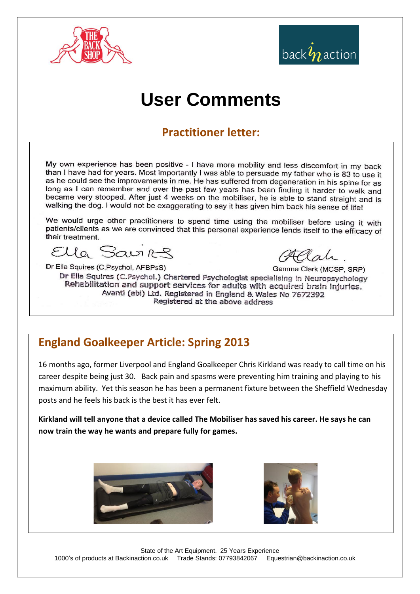

# back  $\hat{\mathbf{\textit{y}}}_{n}$  action

## **User Comments**

#### **Practitioner letter:**

My own experience has been positive - I have more mobility and less discomfort in my back than I have had for years. Most importantly I was able to persuade my father who is 83 to use it as he could see the improvements in me. He has suffered from degeneration in his spine for as long as I can remember and over the past few years has been finding it harder to walk and became very stooped. After just 4 weeks on the mobiliser, he is able to stand straight and is walking the dog. I would not be exaggerating to say it has given him back his sense of life!

We would urge other practitioners to spend time using the mobiliser before using it with patients/clients as we are convinced that this personal experience lends itself to the efficacy of their treatment.

Ella Savirg

Dr Ella Squires (C.Psychol, AFBPsS) Gemma Clark (MCSP, SRP) Dr Ella Squires (C.Psychol.) Chartered Psychologist specialising in Neuropsychology Rehabilitation and support services for adults with acquired brain injuries. Avanti (abi) Ltd. Registered in England & Wales No 7672392 Registered at the above address

#### **England Goalkeeper Article: Spring 2013**

16 months ago, former Liverpool and England Goalkeeper Chris Kirkland was ready to call time on his career despite being just 30. Back pain and spasms were preventing him training and playing to his maximum ability. Yet this season he has been a permanent fixture between the Sheffield Wednesday posts and he feels his back is the best it has ever felt.

**Kirkland will tell anyone that a device called The Mobiliser has saved his career. He says he can now train the way he wants and prepare fully for games.**